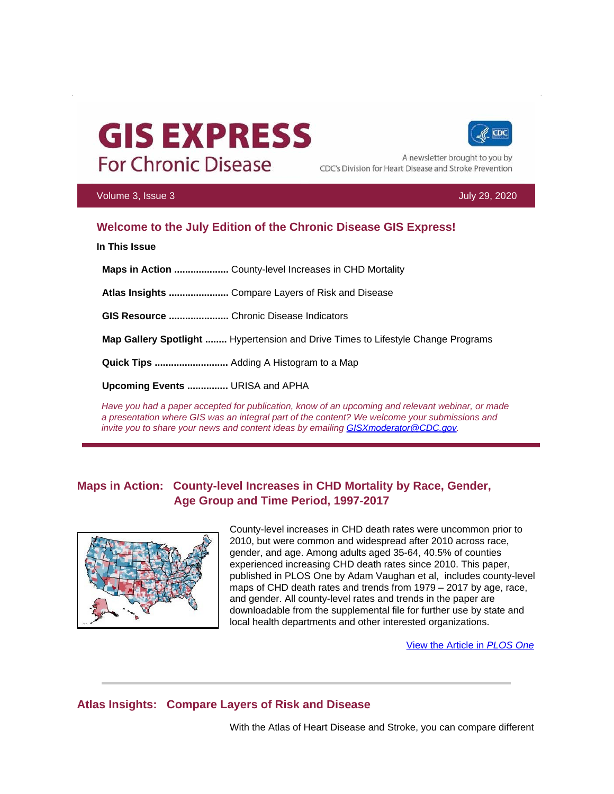# **GIS EXPRESS For Chronic Disease**



A newsletter brought to you by CDC's Division for Heart Disease and Stroke Prevention

#### Volume 3, Issue 3 July 29, 2020

## **Welcome to the July Edition of the Chronic Disease GIS Express!**

**In This Issue**

 **Maps in Action ....................** County-level Increases in CHD Mortality  **Atlas Insights ......................** Compare Layers of Risk and Disease  **GIS Resource ......................** Chronic Disease Indicators  **Map Gallery Spotlight ........** Hypertension and Drive Times to Lifestyle Change Programs  **Quick Tips ...........................** Adding A Histogram to a Map  **Upcoming Events ...............** URISA and APHA

*Have you had a paper accepted for publication, know of an upcoming and relevant webinar, or made a presentation where GIS was an integral part of the content? We welcome your submissions and invite you to share your news and content ideas by emailing [GISXmoderator@CDC.gov.](mailto:GISXmoderator@CDC.gov)* 

## **Maps in Action: County-level Increases in CHD Mortality by Race, Gender, Age Group and Time Period, 1997-2017**



County-level increases in CHD death rates were uncommon prior to 2010, but were common and widespread after 2010 across race, gender, and age. Among adults aged 35-64, 40.5% of counties experienced increasing CHD death rates since 2010. This paper, published in PLOS One by Adam Vaughan et al, includes county-level maps of CHD death rates and trends from 1979 – 2017 by age, race, and gender. All county-level rates and trends in the paper are downloadable from the supplemental file for further use by state and local health departments and other interested organizations.

[View the Article in](https://t.emailupdates.cdc.gov/r/?id=h25fab1e4,11af0df4,11eecc7d) *PLOS One* 

## **Atlas Insights: Compare Layers of Risk and Disease**

With the Atlas of Heart Disease and Stroke, you can compare different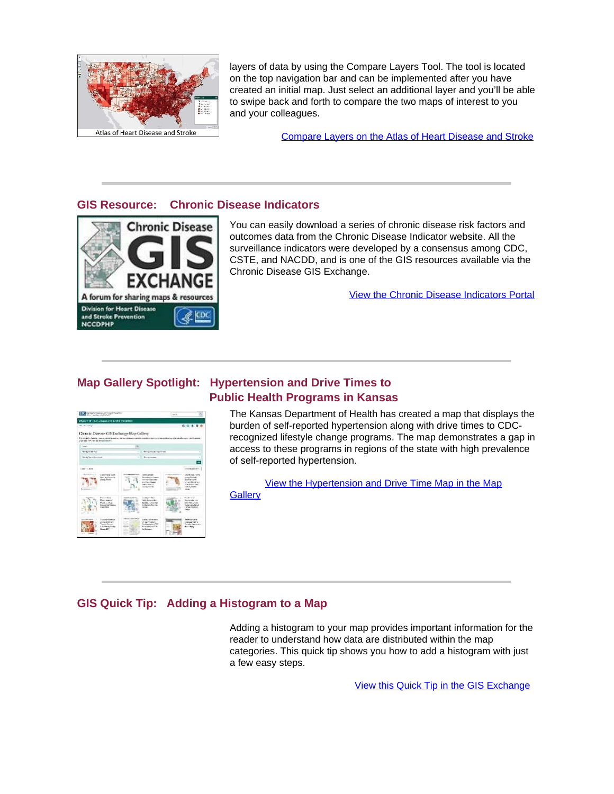

layers of data by using the Compare Layers Tool. The tool is located on the top navigation bar and can be implemented after you have created an initial map. Just select an additional layer and you'll be able to swipe back and forth to compare the two maps of interest to you and your colleagues.

[Compare Layers on the Atlas of Heart Disease and Stroke](https://t.emailupdates.cdc.gov/r/?id=h25fab1e4,11af0df4,11eecc82)

#### **GIS Resource: Chronic Disease Indicators**



You can easily download a series of chronic disease risk factors and outcomes data from the Chronic Disease Indicator website. All the surveillance indicators were developed by a consensus among CDC, CSTE, and NACDD, and is one of the GIS resources available via the Chronic Disease GIS Exchange.

[View the Chronic Disease Indicators Portal](https://t.emailupdates.cdc.gov/r/?id=h25fab1e4,11af0df4,11eecc84)

## **Map Gallery Spotlight: Hypertension and Drive Times to Public Health Programs in Kansas**



The Kansas Department of Health has created a map that displays the burden of self-reported hypertension along with drive times to CDCrecognized lifestyle change programs. The map demonstrates a gap in access to these programs in regions of the state with high prevalence of self-reported hypertension.

[View the Hypertension and Drive Time Map in the Map](https://t.emailupdates.cdc.gov/r/?id=h25fab1e4,11af0df4,11eecc85) **Gallerv** 

## **GIS Quick Tip: Adding a Histogram to a Map**

a few easy steps. Adding a histogram to your map provides important information for the reader to understand how data are distributed within the map categories. This quick tip shows you how to add a histogram with just

View this Quick Tip in the GIS Exchange